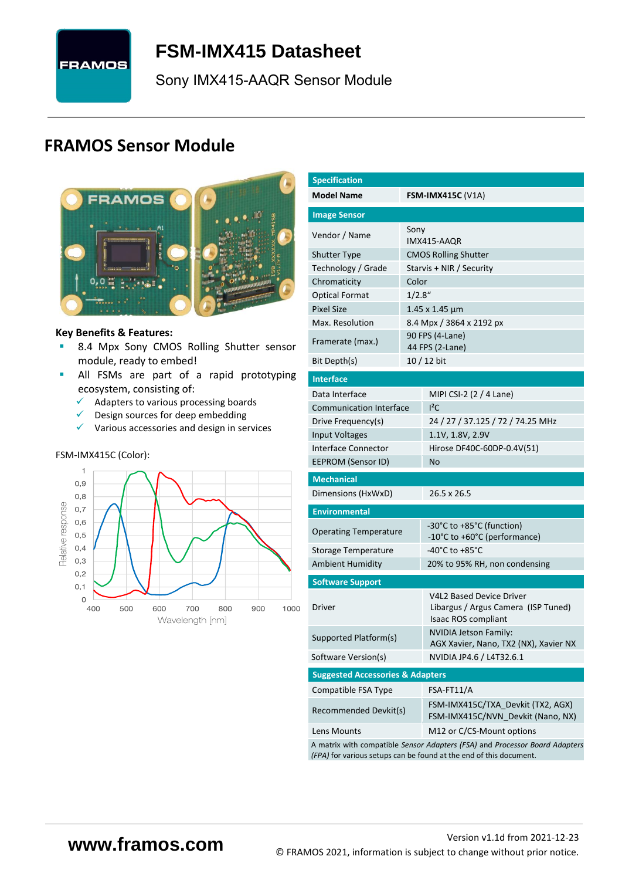

# <span id="page-0-7"></span>**FSM-IMX415 [Datasheet](#page-0-0)**

<span id="page-0-3"></span><span id="page-0-0"></span>[Sony](#page-0-1) [IMX415-AAQR](#page-0-2) Sensor Module

# **FRAMOS Sensor Module**



#### **Key Benefits & Features:**

- **B.4 Mpx [Sony](#page-0-1) [CMOS Rolling Shutter](#page-0-5) sensor** module, ready to embed!
- **E** All FSMs are part of a rapid prototyping ecosystem, consisting of:
	- $\checkmark$  Adapters to various processing boards<br> $\checkmark$  Design sources for deen embedding
	- Design sources for deep embedding
	- ✓ Various accessories and design in services

#### FSM-IMX415C (Color):



<span id="page-0-6"></span><span id="page-0-5"></span><span id="page-0-4"></span><span id="page-0-2"></span><span id="page-0-1"></span>

| <b>Specification</b>                        |         |                                                                                                                                                   |  |  |  |  |
|---------------------------------------------|---------|---------------------------------------------------------------------------------------------------------------------------------------------------|--|--|--|--|
| <b>Model Name</b>                           |         | <b>FSM-IMX415C (V1A)</b>                                                                                                                          |  |  |  |  |
| <b>Image Sensor</b>                         |         |                                                                                                                                                   |  |  |  |  |
|                                             | Sony    |                                                                                                                                                   |  |  |  |  |
| Vendor / Name                               |         | IMX415-AAQR                                                                                                                                       |  |  |  |  |
| <b>Shutter Type</b>                         |         | <b>CMOS Rolling Shutter</b>                                                                                                                       |  |  |  |  |
| Technology / Grade                          |         | Starvis + NIR / Security                                                                                                                          |  |  |  |  |
| Chromaticity                                | Color   |                                                                                                                                                   |  |  |  |  |
| <b>Optical Format</b>                       | 1/2.8'' |                                                                                                                                                   |  |  |  |  |
| <b>Pixel Size</b>                           |         | 1.45 x 1.45 µm                                                                                                                                    |  |  |  |  |
| Max. Resolution                             |         | 8.4 Mpx / 3864 x 2192 px                                                                                                                          |  |  |  |  |
| Framerate (max.)                            |         | 90 FPS (4-Lane)<br>44 FPS (2-Lane)                                                                                                                |  |  |  |  |
| Bit Depth(s)                                |         | 10 / 12 bit                                                                                                                                       |  |  |  |  |
| <b>Interface</b>                            |         |                                                                                                                                                   |  |  |  |  |
| Data Interface                              |         | MIPI CSI-2 (2 / 4 Lane)                                                                                                                           |  |  |  |  |
| <b>Communication Interface</b>              |         | $I^2C$                                                                                                                                            |  |  |  |  |
| Drive Frequency(s)                          |         | 24 / 27 / 37.125 / 72 / 74.25 MHz                                                                                                                 |  |  |  |  |
| <b>Input Voltages</b>                       |         | 1.1V, 1.8V, 2.9V                                                                                                                                  |  |  |  |  |
| Interface Connector                         |         | Hirose DF40C-60DP-0.4V(51)                                                                                                                        |  |  |  |  |
| <b>EEPROM (Sensor ID)</b>                   |         | No                                                                                                                                                |  |  |  |  |
| <b>Mechanical</b>                           |         |                                                                                                                                                   |  |  |  |  |
| Dimensions (HxWxD)                          |         | 26.5 x 26.5                                                                                                                                       |  |  |  |  |
| <b>Environmental</b>                        |         |                                                                                                                                                   |  |  |  |  |
| <b>Operating Temperature</b>                |         | -30°C to +85°C (function)                                                                                                                         |  |  |  |  |
|                                             |         | -10°C to +60°C (performance)                                                                                                                      |  |  |  |  |
| <b>Storage Temperature</b>                  |         | -40°C to +85°C                                                                                                                                    |  |  |  |  |
| <b>Ambient Humidity</b>                     |         | 20% to 95% RH, non condensing                                                                                                                     |  |  |  |  |
| <b>Software Support</b>                     |         |                                                                                                                                                   |  |  |  |  |
| Driver                                      |         | V4L2 Based Device Driver<br>Libargus / Argus Camera (ISP Tuned)<br><b>Isaac ROS compliant</b>                                                     |  |  |  |  |
| Supported Platform(s)                       |         | NVIDIA Jetson Family:<br>AGX Xavier, Nano, TX2 (NX), Xavier NX                                                                                    |  |  |  |  |
| Software Version(s)                         |         | NVIDIA JP4.6 / L4T32.6.1                                                                                                                          |  |  |  |  |
| <b>Suggested Accessories &amp; Adapters</b> |         |                                                                                                                                                   |  |  |  |  |
| Compatible FSA Type                         |         | FSA-FT11/A                                                                                                                                        |  |  |  |  |
| Recommended Devkit(s)                       |         | FSM-IMX415C/TXA Devkit (TX2, AGX)<br>FSM-IMX415C/NVN_Devkit (Nano, NX)                                                                            |  |  |  |  |
| Lens Mounts                                 |         | M12 or C/CS-Mount options                                                                                                                         |  |  |  |  |
|                                             |         | A matrix with compatible Sensor Adapters (FSA) and Processor Board Adapters<br>(FPA) for various setups can be found at the end of this document. |  |  |  |  |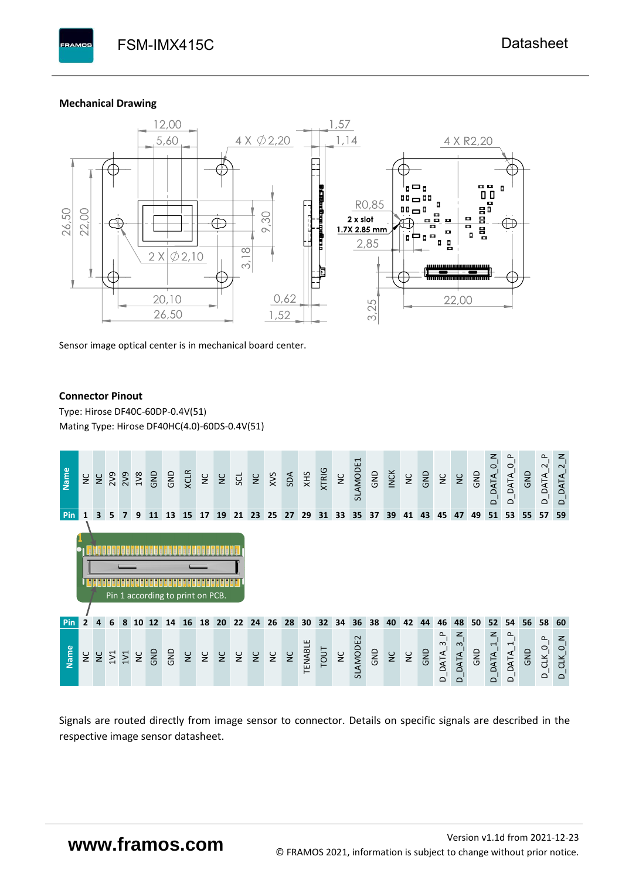#### **Mechanical Drawing**

**PAMOS** 



Sensor image optical center is in mechanical board center.

#### **Connector Pinout**

Type: [Hirose DF40C-60DP-0.4V\(51](#page-0-6)[\)](#page-0-6)  Mating Type: Hirose DF40HC(4.0)-60DS-0.4V(51)



Signals are routed directly from image sensor to connector. Details on specific signals are described in the respective image sensor datasheet.

# **www.framos.com**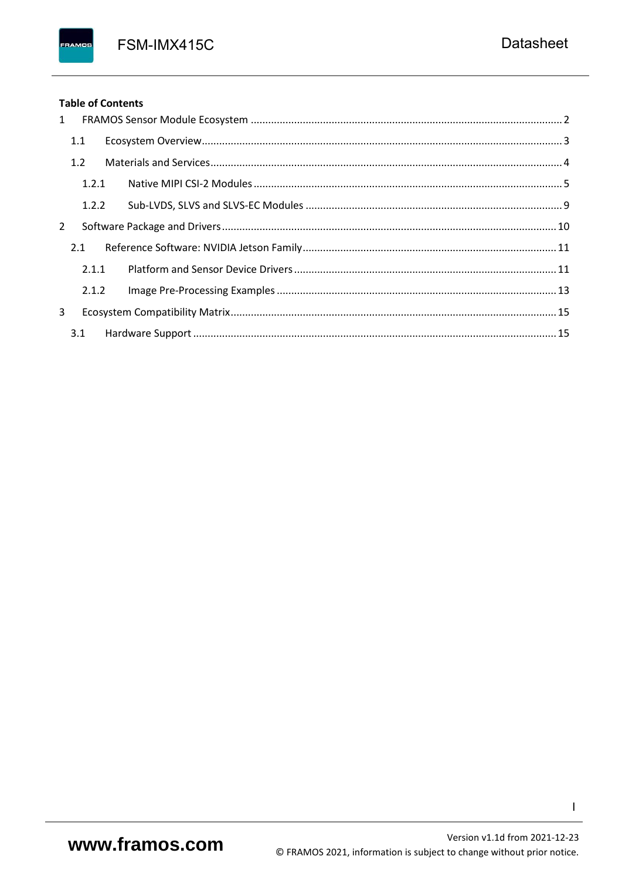FSM-IMX415C

## **Table of Contents**

FRAMOS

| 1              |       |  |
|----------------|-------|--|
|                | 1.1   |  |
|                | 1.2   |  |
|                | 1.2.1 |  |
|                | 1.2.2 |  |
| $\overline{2}$ |       |  |
|                | 2.1   |  |
|                | 2.1.1 |  |
|                | 2.1.2 |  |
| 3              |       |  |
|                | 3.1   |  |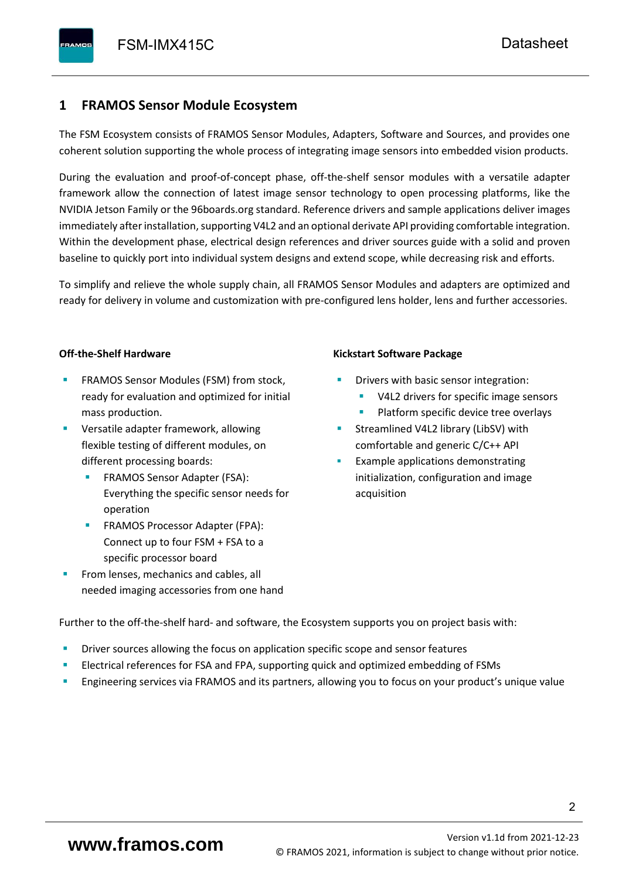# <span id="page-3-0"></span>**1 FRAMOS Sensor Module Ecosystem**

The FSM Ecosystem consists of FRAMOS Sensor Modules, Adapters, Software and Sources, and provides one coherent solution supporting the whole process of integrating image sensors into embedded vision products.

During the evaluation and proof-of-concept phase, off-the-shelf sensor modules with a versatile adapter framework allow the connection of latest image sensor technology to open processing platforms, like the NVIDIA Jetson Family or the 96boards.org standard. Reference drivers and sample applications deliver images immediately after installation, supporting V4L2 and an optional derivate API providing comfortable integration. Within the development phase, electrical design references and driver sources guide with a solid and proven baseline to quickly port into individual system designs and extend scope, while decreasing risk and efforts.

To simplify and relieve the whole supply chain, all FRAMOS Sensor Modules and adapters are optimized and ready for delivery in volume and customization with pre-configured lens holder, lens and further accessories.

#### **Off-the-Shelf Hardware**

- FRAMOS Sensor Modules (FSM) from stock, ready for evaluation and optimized for initial mass production.
- Versatile adapter framework, allowing flexible testing of different modules, on different processing boards:
	- FRAMOS Sensor Adapter (FSA): Everything the specific sensor needs for operation
	- FRAMOS Processor Adapter (FPA): Connect up to four FSM + FSA to a specific processor board
- From lenses, mechanics and cables, all needed imaging accessories from one hand

#### **Kickstart Software Package**

- Drivers with basic sensor integration:
	- V4L2 drivers for specific image sensors
	- Platform specific device tree overlays
- Streamlined V4L2 library (LibSV) with comfortable and generic C/C++ API
- Example applications demonstrating initialization, configuration and image acquisition

Further to the off-the-shelf hard- and software, the Ecosystem supports you on project basis with:

- Driver sources allowing the focus on application specific scope and sensor features
- Electrical references for FSA and FPA, supporting quick and optimized embedding of FSMs
- Engineering services via FRAMOS and its partners, allowing you to focus on your product's unique value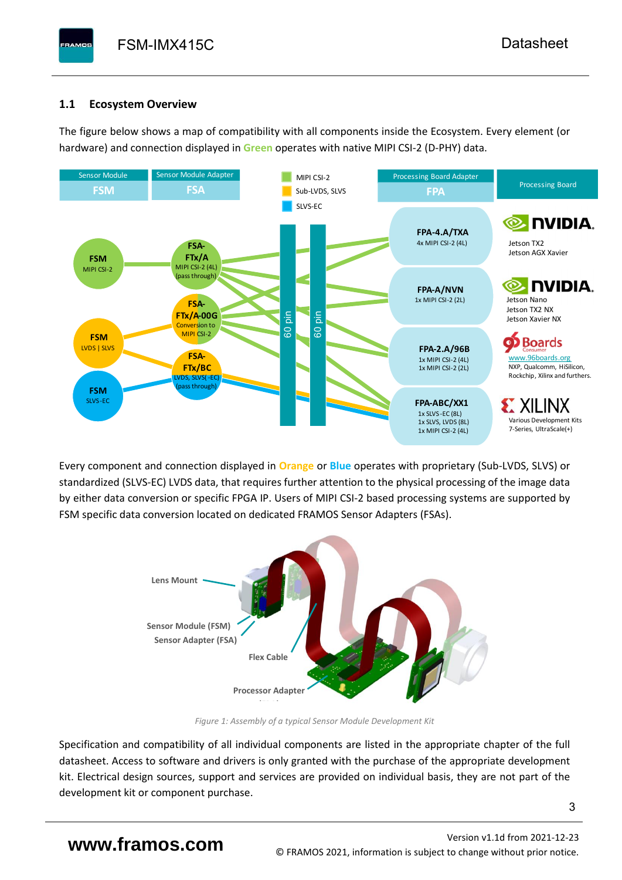# <span id="page-4-0"></span>**1.1 Ecosystem Overview**

**PAMOS** 

The figure below shows a map of compatibility with all components inside the Ecosystem. Every element (or hardware) and connection displayed in **Green** operates with native MIPI CSI-2 (D-PHY) data.



Every component and connection displayed in **Orange** or **Blue** operates with proprietary (Sub-LVDS, SLVS) or standardized (SLVS-EC) LVDS data, that requires further attention to the physical processing of the image data by either data conversion or specific FPGA IP. Users of MIPI CSI-2 based processing systems are supported by FSM specific data conversion located on dedicated FRAMOS Sensor Adapters (FSAs).



*Figure 1: Assembly of a typical Sensor Module Development Kit*

Specification and compatibility of all individual components are listed in the appropriate chapter of the full datasheet. Access to software and drivers is only granted with the purchase of the appropriate development kit. Electrical design sources, support and services are provided on individual basis, they are not part of the development kit or component purchase.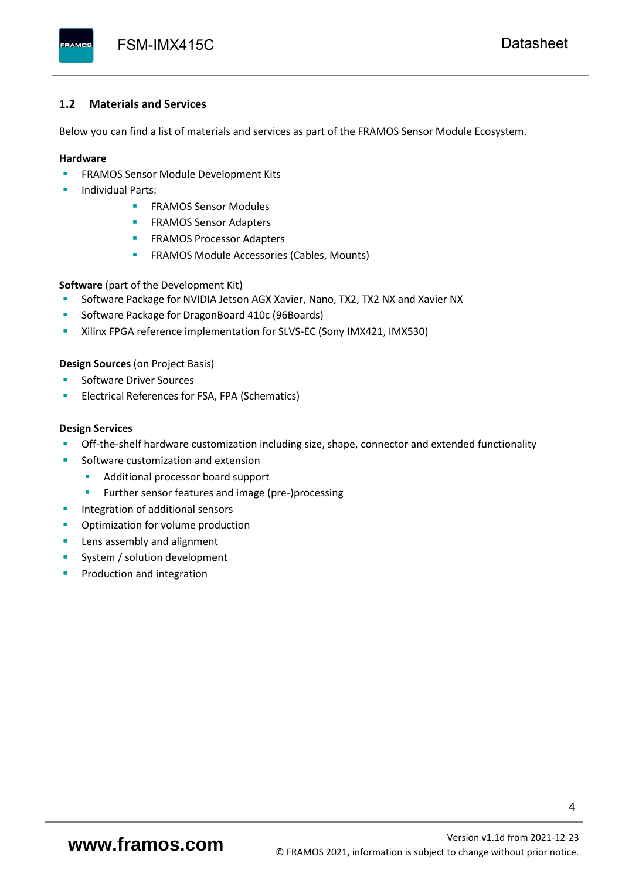#### <span id="page-5-0"></span>**1.2 Materials and Services**

Below you can find a list of materials and services as part of the FRAMOS Sensor Module Ecosystem.

#### **Hardware**

- **EXECTED FRAMOS Sensor Module Development Kits**
- **Individual Parts:** 
	- FRAMOS Sensor Modules
	- **FRAMOS Sensor Adapters**
	- **EXAMOS Processor Adapters**
	- **EXECTED** FRAMOS Module Accessories (Cables, Mounts)

**Software** (part of the Development Kit)

- Software Package for NVIDIA Jetson AGX Xavier, Nano, TX2, TX2 NX and Xavier NX
- Software Package for DragonBoard 410c (96Boards)
- **E** Xilinx FPGA reference implementation for SLVS-EC (Sony IMX421, IMX530)

#### **Design Sources** (on Project Basis)

- Software Driver Sources
- Electrical References for FSA, FPA (Schematics)

#### **Design Services**

- Off-the-shelf hardware customization including size, shape, connector and extended functionality
- Software customization and extension
	- Additional processor board support
	- Further sensor features and image (pre-)processing
- **■** Integration of additional sensors
- Optimization for volume production
- Lens assembly and alignment
- System / solution development
- Production and integration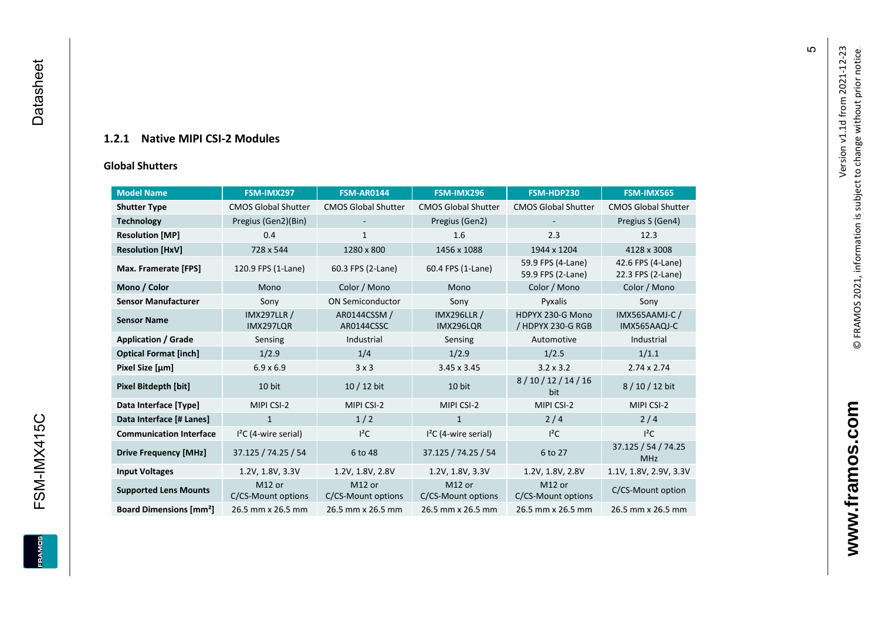## **1.2.1 Native MIPI CSI - 2 Modules**

#### **[Global Shu](#page-0-7)tters**

<span id="page-6-0"></span>

| <b>Model Name</b>                        | FSM-IMX297                      | <b>FSM-AR0144</b>            | FSM-IMX296                      | FSM-HDP230                             | FSM-IMX565                             |
|------------------------------------------|---------------------------------|------------------------------|---------------------------------|----------------------------------------|----------------------------------------|
| <b>Shutter Type</b>                      | <b>CMOS Global Shutter</b>      | <b>CMOS Global Shutter</b>   | <b>CMOS Global Shutter</b>      | <b>CMOS Global Shutter</b>             | <b>CMOS Global Shutter</b>             |
| <b>Technology</b>                        | Pregius (Gen2)(Bin)             |                              | Pregius (Gen2)                  |                                        | Pregius S (Gen4)                       |
| <b>Resolution [MP]</b>                   | 0.4                             | 1                            | 1.6                             | 2.3                                    | 12.3                                   |
| <b>Resolution [HxV]</b>                  | 728 x 544                       | 1280 x 800                   | 1456 x 1088                     | 1944 x 1204                            | 4128 x 3008                            |
| Max. Framerate [FPS]                     | 120.9 FPS (1-Lane)              | 60.3 FPS (2-Lane)            | 60.4 FPS (1-Lane)               | 59.9 FPS (4-Lane)<br>59.9 FPS (2-Lane) | 42.6 FPS (4-Lane)<br>22.3 FPS (2-Lane) |
| Mono / Color                             | Mono                            | Color / Mono                 | Mono                            | Color / Mono                           | Color / Mono                           |
| <b>Sensor Manufacturer</b>               | Sony                            | <b>ON Semiconductor</b>      | Sony                            | Pyxalis                                | Sony                                   |
| <b>Sensor Name</b>                       | <b>IMX297LLR /</b><br>IMX297LQR | AR0144CSSM /<br>AR0144CSSC   | <b>IMX296LLR /</b><br>IMX296LQR | HDPYX 230-G Mono<br>/ HDPYX 230-G RGB  | IMX565AAMJ-C /<br>IMX565AAQJ-C         |
| <b>Application / Grade</b>               | Sensing                         | Industrial                   | Sensing                         | Automotive                             | Industrial                             |
| <b>Optical Format [inch]</b>             | 1/2.9                           | 1/4                          | 1/2.9                           | 1/2.5                                  | 1/1.1                                  |
| Pixel Size [µm]                          | $6.9 \times 6.9$                | 3x3                          | 3.45 x 3.45                     | $3.2 \times 3.2$                       | $2.74 \times 2.74$                     |
| <b>Pixel Bitdepth [bit]</b>              | 10 bit                          | 10 / 12 bit                  | 10 bit                          | 8/10/12/14/16<br>bit                   | 8/10/12 bit                            |
| Data Interface [Type]                    | MIPI CSI-2                      | MIPI CSI-2                   | MIPI CSI-2                      | MIPI CSI-2                             | MIPI CSI-2                             |
| Data Interface [# Lanes]                 | $\mathbf{1}$                    | 1/2                          | $\mathbf{1}$                    | 2/4                                    | 2/4                                    |
| <b>Communication Interface</b>           | $I2C$ (4-wire serial)           | $l^2C$                       | $I2C$ (4-wire serial)           | $l^2C$                                 | $I^2C$                                 |
| <b>Drive Frequency [MHz]</b>             | 37.125 / 74.25 / 54             | 6 to 48                      | 37.125 / 74.25 / 54             | 6 to 27                                | 37.125 / 54 / 74.25<br><b>MHz</b>      |
| <b>Input Voltages</b>                    | 1.2V, 1.8V, 3.3V                | 1.2V, 1.8V, 2.8V             | 1.2V, 1.8V, 3.3V                | 1.2V, 1.8V, 2.8V                       | 1.1V, 1.8V, 2.9V, 3.3V                 |
| <b>Supported Lens Mounts</b>             | M12 or<br>C/CS-Mount options    | M12 or<br>C/CS-Mount options | M12 or<br>C/CS-Mount options    | M12 or<br>C/CS-Mount options           | C/CS-Mount option                      |
| <b>Board Dimensions [mm<sup>2</sup>]</b> | 26.5 mm x 26.5 mm               | 26.5 mm x 26.5 mm            | 26.5 mm x 26.5 mm               | 26.5 mm x 26.5 mm                      | 26.5 mm x 26.5 mm                      |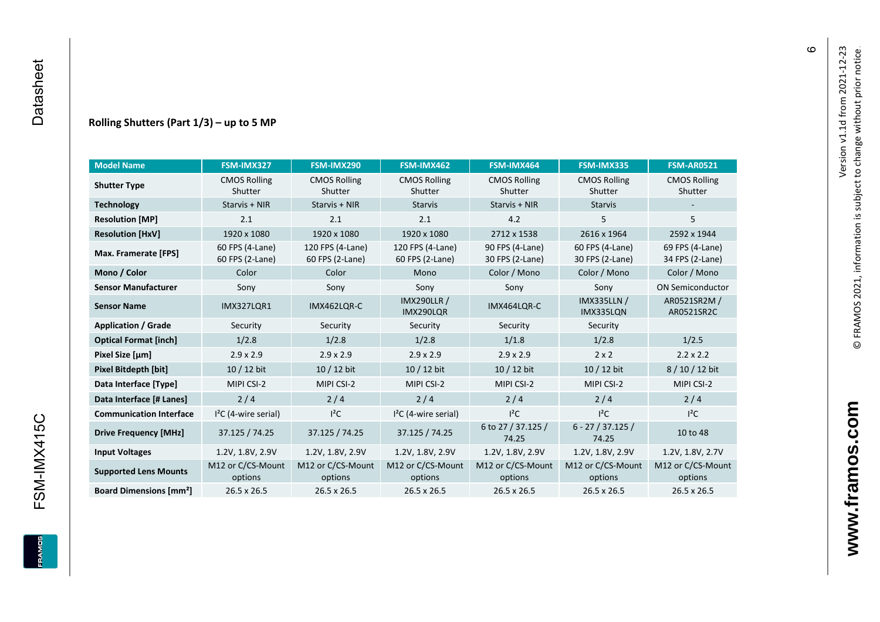#### **Rolling Shutters (Part 1/ 3 ) – up to 5 MP**

| <b>Model Name</b>                        | FSM-IMX327                         | FSM-IMX290                          | FSM-IMX462                                     | FSM-IMX464                         | FSM-IMX335                         | <b>FSM-AR0521</b>                  |
|------------------------------------------|------------------------------------|-------------------------------------|------------------------------------------------|------------------------------------|------------------------------------|------------------------------------|
| <b>Shutter Type</b>                      | <b>CMOS Rolling</b><br>Shutter     | <b>CMOS Rolling</b><br>Shutter      | <b>CMOS Rolling</b><br>Shutter                 | <b>CMOS Rolling</b><br>Shutter     | <b>CMOS Rolling</b><br>Shutter     | <b>CMOS Rolling</b><br>Shutter     |
| <b>Technology</b>                        | Starvis + NIR                      | Starvis + NIR                       | <b>Starvis</b>                                 | Starvis + NIR                      | <b>Starvis</b>                     |                                    |
| <b>Resolution [MP]</b>                   | 2.1                                | 2.1                                 | 2.1                                            | 4.2                                | 5                                  | 5                                  |
| <b>Resolution [HxV]</b>                  | 1920 x 1080                        | 1920 x 1080                         | 1920 x 1080                                    | 2712 x 1538                        | 2616 x 1964                        | 2592 x 1944                        |
| Max. Framerate [FPS]                     | 60 FPS (4-Lane)<br>60 FPS (2-Lane) | 120 FPS (4-Lane)<br>60 FPS (2-Lane) | 120 FPS (4-Lane)<br>60 FPS (2-Lane)            | 90 FPS (4-Lane)<br>30 FPS (2-Lane) | 60 FPS (4-Lane)<br>30 FPS (2-Lane) | 69 FPS (4-Lane)<br>34 FPS (2-Lane) |
| Mono / Color                             | Color                              | Color                               | Mono                                           | Color / Mono                       | Color / Mono                       | Color / Mono                       |
| <b>Sensor Manufacturer</b>               | Sony                               | Sony                                | Sony                                           | Sony                               | Sony                               | <b>ON Semiconductor</b>            |
| <b>Sensor Name</b>                       | <b>IMX327LOR1</b><br>IMX462LOR-C   |                                     | <b>IMX290LLR /</b><br>IMX464LQR-C<br>IMX290LQR |                                    | <b>IMX335LLN /</b><br>IMX335LQN    | AR0521SR2M /<br>AR0521SR2C         |
| <b>Application / Grade</b>               | Security                           | Security                            | Security                                       | Security                           | Security                           |                                    |
| <b>Optical Format [inch]</b>             | 1/2.8                              | 1/2.8                               | 1/2.8                                          | 1/1.8                              | 1/2.8                              | 1/2.5                              |
| Pixel Size [µm]                          | $2.9 \times 2.9$                   | $2.9 \times 2.9$                    | $2.9 \times 2.9$                               | $2.9 \times 2.9$                   | $2 \times 2$                       | $2.2 \times 2.2$                   |
| <b>Pixel Bitdepth [bit]</b>              | 10 / 12 bit                        | 10 / 12 bit                         | 10 / 12 bit                                    | 10 / 12 bit                        | 10 / 12 bit                        | 8/10/12 bit                        |
| Data Interface [Type]                    | MIPI CSI-2                         | MIPI CSI-2                          | MIPI CSI-2                                     | MIPI CSI-2                         | MIPI CSI-2                         | MIPI CSI-2                         |
| Data Interface [# Lanes]                 | 2/4                                | 2/4                                 | 2/4                                            | 2/4                                | 2/4                                | 2/4                                |
| <b>Communication Interface</b>           | $I2C$ (4-wire serial)              | $l^2C$                              | $I2C$ (4-wire serial)                          | $I^2C$                             | $l^2C$                             | $l^2C$                             |
| <b>Drive Frequency [MHz]</b>             | 37.125 / 74.25                     | 37.125 / 74.25                      | 37.125 / 74.25                                 | 6 to 27 / 37.125 /<br>74.25        | $6 - 27 / 37.125 /$<br>74.25       | 10 to 48                           |
| <b>Input Voltages</b>                    | 1.2V, 1.8V, 2.9V                   | 1.2V, 1.8V, 2.9V                    | 1.2V, 1.8V, 2.9V                               | 1.2V, 1.8V, 2.9V                   | 1.2V, 1.8V, 2.9V                   | 1.2V, 1.8V, 2.7V                   |
| <b>Supported Lens Mounts</b>             | M12 or C/CS-Mount<br>options       | M12 or C/CS-Mount<br>options        | M12 or C/CS-Mount<br>options                   | M12 or C/CS-Mount<br>options       | M12 or C/CS-Mount<br>options       | M12 or C/CS-Mount<br>options       |
| <b>Board Dimensions [mm<sup>2</sup>]</b> | $26.5 \times 26.5$                 | $26.5 \times 26.5$                  | 26.5 x 26.5                                    | $26.5 \times 26.5$                 | 26.5 x 26.5                        | 26.5 x 26.5                        |

 $\pmb{\circ}$ 

**www.framos.com**

www.framos.com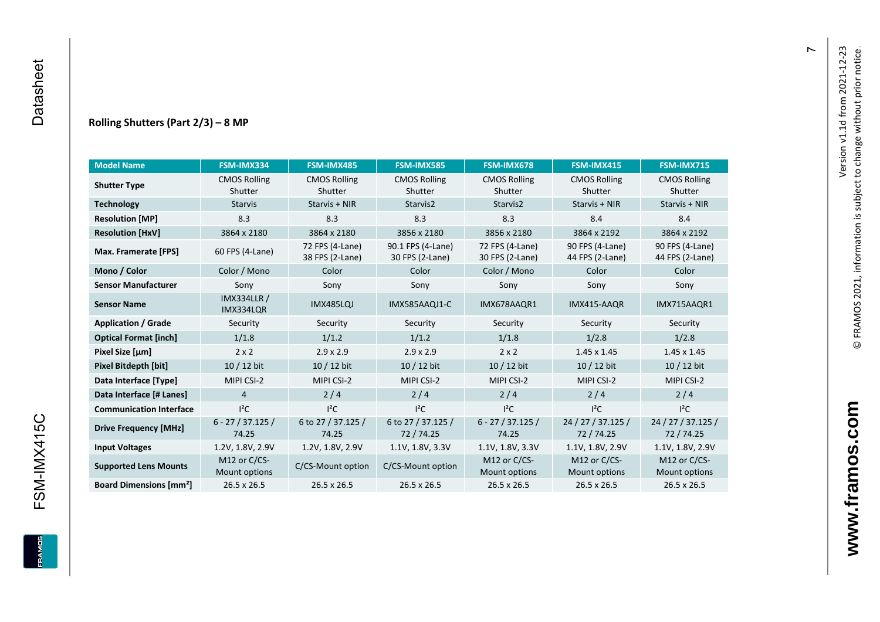#### **Rolling Shutters (Part 2/ 3 ) – 8 MP**

| <b>Model Name</b>                        | FSM-IMX334                      | FSM-IMX485                         | <b>FSM-IMX585</b>                    | FSM-IMX678                         | FSM-IMX415                         | <b>FSM-IMX715</b>                  |
|------------------------------------------|---------------------------------|------------------------------------|--------------------------------------|------------------------------------|------------------------------------|------------------------------------|
| <b>Shutter Type</b>                      | <b>CMOS Rolling</b>             | <b>CMOS Rolling</b>                | <b>CMOS Rolling</b>                  | <b>CMOS Rolling</b>                | <b>CMOS Rolling</b>                | <b>CMOS Rolling</b>                |
|                                          | Shutter                         | Shutter                            | Shutter                              | Shutter                            | Shutter                            | Shutter                            |
| <b>Technology</b>                        | <b>Starvis</b>                  | Starvis + NIR                      | Starvis2                             | Starvis2                           | Starvis + NIR                      | Starvis + NIR                      |
| <b>Resolution [MP]</b>                   | 8.3                             | 8.3                                | 8.3                                  | 8.3                                | 8.4                                | 8.4                                |
| <b>Resolution [HxV]</b>                  | 3864 x 2180                     | 3864 x 2180                        | 3856 x 2180                          | 3856 x 2180                        | 3864 x 2192                        | 3864 x 2192                        |
| Max. Framerate [FPS]                     | 60 FPS (4-Lane)                 | 72 FPS (4-Lane)<br>38 FPS (2-Lane) | 90.1 FPS (4-Lane)<br>30 FPS (2-Lane) | 72 FPS (4-Lane)<br>30 FPS (2-Lane) | 90 FPS (4-Lane)<br>44 FPS (2-Lane) | 90 FPS (4-Lane)<br>44 FPS (2-Lane) |
| Mono / Color                             | Color / Mono                    | Color                              | Color                                | Color / Mono                       | Color                              | Color                              |
| <b>Sensor Manufacturer</b>               | Sony                            | Sony                               | Sony                                 | Sony                               | Sony                               | Sony                               |
| <b>Sensor Name</b>                       | <b>IMX334LLR /</b><br>IMX334LQR | IMX485LQJ                          | IMX585AAQJ1-C                        | IMX678AAQR1                        | IMX415-AAQR                        | IMX715AAQR1                        |
| <b>Application / Grade</b>               | Security                        | Security                           | Security                             | Security                           | Security                           | Security                           |
| <b>Optical Format [inch]</b>             | 1/1.8                           | 1/1.2                              | 1/1.2<br>1/1.8                       |                                    | 1/2.8                              | 1/2.8                              |
| Pixel Size [µm]                          | $2 \times 2$                    | $2.9 \times 2.9$                   | $2.9 \times 2.9$                     | $2 \times 2$                       | $1.45 \times 1.45$                 | $1.45 \times 1.45$                 |
| <b>Pixel Bitdepth [bit]</b>              | $10/12$ bit                     | 10 / 12 bit                        | 10 / 12 bit                          | 10 / 12 bit                        | $10/12$ bit                        | $10/12$ bit                        |
| Data Interface [Type]                    | MIPI CSI-2                      | MIPI CSI-2                         | MIPI CSI-2                           | MIPI CSI-2                         | MIPI CSI-2                         | MIPI CSI-2                         |
| Data Interface [# Lanes]                 | $\overline{4}$                  | 2/4                                | 2/4                                  | 2/4                                | 2/4                                | 2/4                                |
| <b>Communication Interface</b>           | $I^2C$                          | $I^2C$                             | $I^2C$                               | $I^2C$                             | $I^2C$                             | $I^2C$                             |
| <b>Drive Frequency [MHz]</b>             | $6 - 27 / 37.125 /$<br>74.25    | 6 to 27 / 37.125 /<br>74.25        | 6 to 27 / 37.125 /<br>72/74.25       | $6 - 27 / 37.125 /$<br>74.25       | 24 / 27 / 37.125 /<br>72 / 74.25   | 24 / 27 / 37.125 /<br>72 / 74.25   |
| <b>Input Voltages</b>                    | 1.2V, 1.8V, 2.9V                | 1.2V, 1.8V, 2.9V                   | 1.1V, 1.8V, 3.3V                     | 1.1V, 1.8V, 3.3V                   | 1.1V, 1.8V, 2.9V                   | 1.1V, 1.8V, 2.9V                   |
| <b>Supported Lens Mounts</b>             | M12 or C/CS-<br>Mount options   | C/CS-Mount option                  | C/CS-Mount option                    | M12 or C/CS-<br>Mount options      | M12 or C/CS-<br>Mount options      | M12 or C/CS-<br>Mount options      |
| <b>Board Dimensions [mm<sup>2</sup>]</b> | 26.5 x 26.5                     | 26.5 x 26.5                        | 26.5 x 26.5                          | 26.5 x 26.5                        | 26.5 x 26.5                        | 26.5 x 26.5                        |

 $\overline{r}$ 

FSM-IMX415C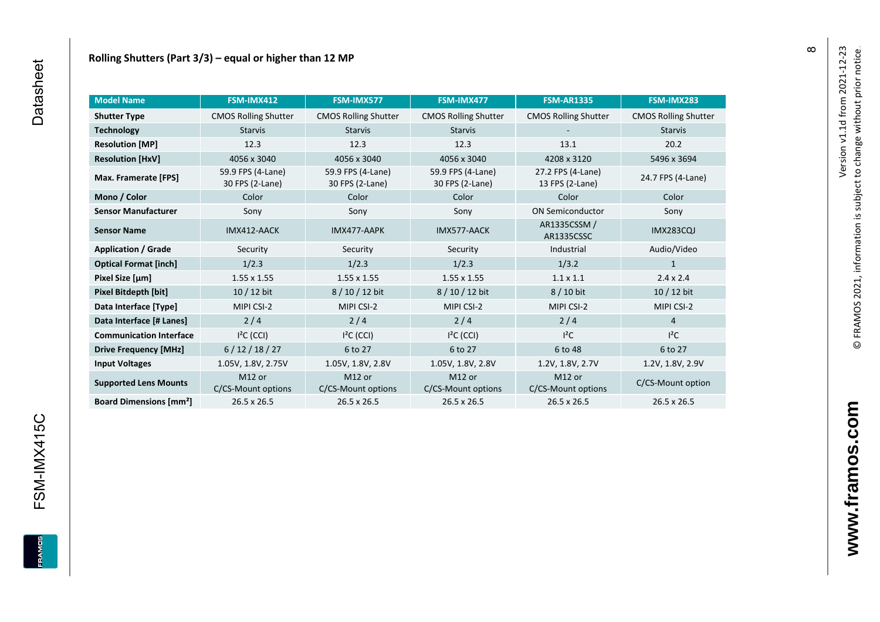| <b>Model Name</b>                        | FSM-IMX412                               | FSM-IMX577                               | FSM-IMX477                               | <b>FSM-AR1335</b>                    | FSM-IMX283                  |
|------------------------------------------|------------------------------------------|------------------------------------------|------------------------------------------|--------------------------------------|-----------------------------|
| <b>Shutter Type</b>                      | <b>CMOS Rolling Shutter</b>              | <b>CMOS Rolling Shutter</b>              | <b>CMOS Rolling Shutter</b>              | <b>CMOS Rolling Shutter</b>          | <b>CMOS Rolling Shutter</b> |
| <b>Technology</b>                        | <b>Starvis</b><br><b>Starvis</b>         |                                          | <b>Starvis</b>                           |                                      | <b>Starvis</b>              |
| <b>Resolution [MP]</b>                   | 12.3                                     | 12.3                                     | 12.3                                     | 13.1                                 | 20.2                        |
| <b>Resolution [HxV]</b>                  | 4056 x 3040                              | 4056 x 3040                              | 4056 x 3040                              | 4208 x 3120                          | 5496 x 3694                 |
| Max. Framerate [FPS]                     | 59.9 FPS (4-Lane)<br>30 FPS (2-Lane)     | 59.9 FPS (4-Lane)<br>30 FPS (2-Lane)     | 59.9 FPS (4-Lane)<br>30 FPS (2-Lane)     | 27.2 FPS (4-Lane)<br>13 FPS (2-Lane) | 24.7 FPS (4-Lane)           |
| Mono / Color                             | Color                                    | Color                                    | Color                                    | Color                                | Color                       |
| <b>Sensor Manufacturer</b>               | Sony                                     | Sony                                     | Sony                                     | <b>ON Semiconductor</b>              | Sony                        |
| <b>Sensor Name</b>                       | IMX412-AACK                              | IMX477-AAPK                              | IMX577-AACK                              | AR1335CSSM /<br>AR1335CSSC           | <b>IMX283CQJ</b>            |
| <b>Application / Grade</b>               | Security                                 | Security                                 | Security                                 | Industrial                           | Audio/Video                 |
| <b>Optical Format [inch]</b>             | 1/2.3                                    | 1/2.3                                    | 1/2.3                                    | 1/3.2                                | $\mathbf{1}$                |
| Pixel Size [µm]                          | $1.55 \times 1.55$                       | $1.55 \times 1.55$                       | $1.55 \times 1.55$                       | $1.1 \times 1.1$                     | $2.4 \times 2.4$            |
| Pixel Bitdepth [bit]                     | $10/12$ bit                              | 8/10/12 bit                              | 8 / 10 / 12 bit                          | 8 / 10 bit                           | 10 / 12 bit                 |
| Data Interface [Type]                    | MIPI CSI-2                               | MIPI CSI-2                               | MIPI CSI-2                               | MIPI CSI-2                           | MIPI CSI-2                  |
| Data Interface [# Lanes]                 | 2/4                                      | 2/4                                      | 2/4                                      | 2/4                                  | $\overline{4}$              |
| <b>Communication Interface</b>           | $I2C$ (CCI)                              | $I2C$ (CCI)                              | $I2C$ (CCI)                              | $l^2C$                               | $l^2C$                      |
| <b>Drive Frequency [MHz]</b>             | 6/12/18/27                               | 6 to 27                                  | 6 to 27                                  | 6 to 48                              | 6 to 27                     |
| <b>Input Voltages</b>                    | 1.05V, 1.8V, 2.75V                       | 1.05V, 1.8V, 2.8V                        | 1.05V, 1.8V, 2.8V                        | 1.2V, 1.8V, 2.7V                     | 1.2V, 1.8V, 2.9V            |
| <b>Supported Lens Mounts</b>             | M <sub>12</sub> or<br>C/CS-Mount options | M <sub>12</sub> or<br>C/CS-Mount options | M <sub>12</sub> or<br>C/CS-Mount options | M12 or<br>C/CS-Mount options         | C/CS-Mount option           |
| <b>Board Dimensions [mm<sup>2</sup>]</b> | 26.5 x 26.5                              | 26.5 x 26.5                              | 26.5 x 26.5                              | 26.5 x 26.5                          | 26.5 x 26.5                 |

FSM-IMX415C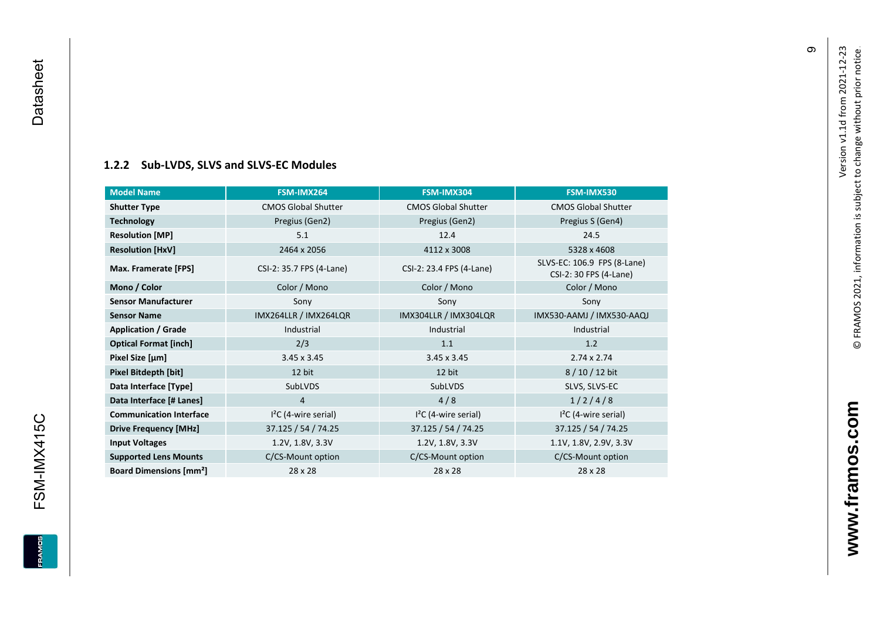### **[1.2.2](#page-0-7) Sub -LVDS, SLVS and SLVS -EC Modules**

| <b>Model Name</b>                        | FSM-IMX264                 | FSM-IMX304                 | FSM-IMX530                                            |
|------------------------------------------|----------------------------|----------------------------|-------------------------------------------------------|
| <b>Shutter Type</b>                      | <b>CMOS Global Shutter</b> | <b>CMOS Global Shutter</b> | <b>CMOS Global Shutter</b>                            |
| <b>Technology</b>                        | Pregius (Gen2)             | Pregius (Gen2)             | Pregius S (Gen4)                                      |
| <b>Resolution [MP]</b>                   | 5.1                        | 12.4                       | 24.5                                                  |
| <b>Resolution [HxV]</b>                  | 2464 x 2056                | 4112 x 3008                | 5328 x 4608                                           |
| Max. Framerate [FPS]                     | CSI-2: 35.7 FPS (4-Lane)   | CSI-2: 23.4 FPS (4-Lane)   | SLVS-EC: 106.9 FPS (8-Lane)<br>CSI-2: 30 FPS (4-Lane) |
| Mono / Color                             | Color / Mono               | Color / Mono               | Color / Mono                                          |
| <b>Sensor Manufacturer</b>               | Sony                       | Sony                       | Sony                                                  |
| <b>Sensor Name</b>                       | IMX264LLR / IMX264LQR      | IMX304LLR / IMX304LQR      | IMX530-AAMJ / IMX530-AAQJ                             |
| <b>Application / Grade</b>               | Industrial                 | Industrial                 | Industrial                                            |
| <b>Optical Format [inch]</b>             | 2/3                        | 1.1                        | 1.2                                                   |
| Pixel Size [µm]                          | $3.45 \times 3.45$         | $3.45 \times 3.45$         | $2.74 \times 2.74$                                    |
| Pixel Bitdepth [bit]                     | 12 bit                     | 12 bit                     | 8/10/12 bit                                           |
| Data Interface [Type]                    | SubLVDS                    | SubLVDS                    | SLVS, SLVS-EC                                         |
| Data Interface [# Lanes]                 | $\overline{4}$             | 4/8                        | 1/2/4/8                                               |
| <b>Communication Interface</b>           | $I2C$ (4-wire serial)      | $I2C$ (4-wire serial)      | $I2C$ (4-wire serial)                                 |
| <b>Drive Frequency [MHz]</b>             | 37.125 / 54 / 74.25        | 37.125 / 54 / 74.25        | 37.125 / 54 / 74.25                                   |
| <b>Input Voltages</b>                    | 1.2V, 1.8V, 3.3V           | 1.2V, 1.8V, 3.3V           | 1.1V, 1.8V, 2.9V, 3.3V                                |
| <b>Supported Lens Mounts</b>             | C/CS-Mount option          | C/CS-Mount option          | C/CS-Mount option                                     |
| <b>Board Dimensions [mm<sup>2</sup>]</b> | 28 x 28                    | 28 x 28                    | 28 x 28                                               |

თ

<span id="page-10-0"></span>FSM-IMX415C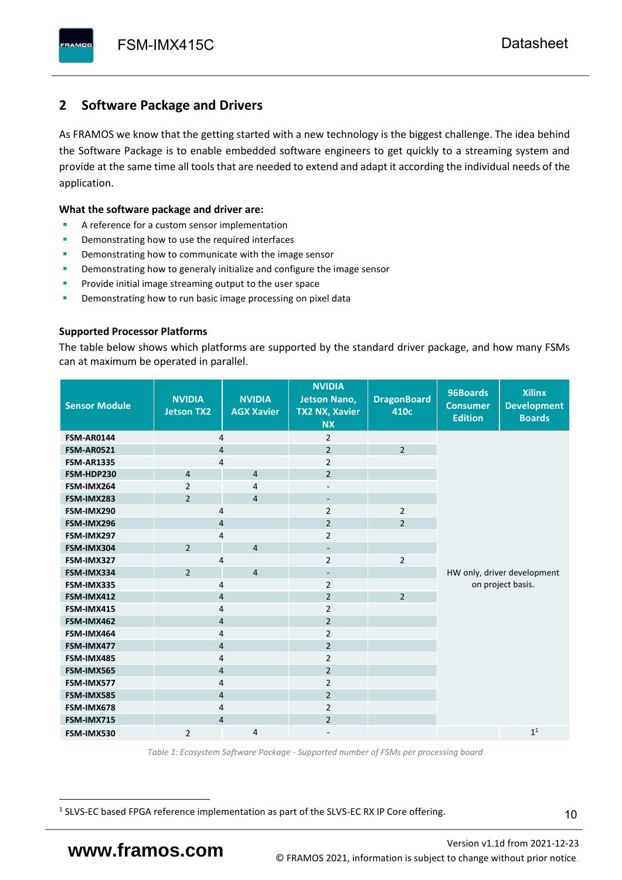# <span id="page-11-0"></span>**2 Software Package and Drivers**

As FRAMOS we know that the getting started with a new technology is the biggest challenge. The idea behind the Software Package is to enable embedded software engineers to get quickly to a streaming system and provide at the same time all tools that are needed to extend and adapt it according the individual needs of the application.

#### **What the software package and driver are:**

- A reference for a custom sensor implementation
- Demonstrating how to use the required interfaces
- Demonstrating how to communicate with the image sensor
- Demonstrating how to generaly initialize and configure the image sensor
- Provide initial image streaming output to the user space
- Demonstrating how to run basic image processing on pixel data

#### **Supported Processor Platforms**

The table below shows which platforms are supported by the standard driver package, and how many FSMs can at maximum be operated in parallel.

| <b>Sensor Module</b> | <b>NVIDIA</b><br><b>Jetson TX2</b> | <b>NVIDIA</b><br><b>AGX Xavier</b> | <b>NVIDIA</b><br><b>Jetson Nano,</b><br><b>TX2 NX, Xavier</b><br><b>NX</b> | <b>DragonBoard</b><br>410c | 96Boards<br><b>Consumer</b><br><b>Edition</b> | <b>Xilinx</b><br><b>Development</b><br><b>Boards</b> |  |
|----------------------|------------------------------------|------------------------------------|----------------------------------------------------------------------------|----------------------------|-----------------------------------------------|------------------------------------------------------|--|
| <b>FSM-AR0144</b>    | 4                                  |                                    | $\overline{2}$                                                             |                            |                                               |                                                      |  |
| <b>FSM-AR0521</b>    | $\overline{4}$                     |                                    | $\overline{2}$                                                             | $\overline{2}$             |                                               |                                                      |  |
| <b>FSM-AR1335</b>    | 4                                  |                                    | $\overline{2}$                                                             |                            |                                               |                                                      |  |
| FSM-HDP230           | $\overline{4}$                     | $\overline{4}$                     | $\overline{2}$                                                             |                            |                                               |                                                      |  |
| FSM-IMX264           | $\overline{2}$                     | $\overline{4}$                     | $\overline{\phantom{a}}$                                                   |                            |                                               |                                                      |  |
| FSM-IMX283           | $\overline{2}$                     | $\overline{4}$                     | $\overline{\phantom{a}}$                                                   |                            |                                               |                                                      |  |
| FSM-IMX290           | 4                                  |                                    | $\overline{2}$                                                             | $\overline{2}$             |                                               |                                                      |  |
| FSM-IMX296           | 4                                  |                                    | $\overline{2}$                                                             | $\overline{2}$             |                                               |                                                      |  |
| FSM-IMX297           | 4                                  |                                    | $\overline{2}$                                                             |                            |                                               |                                                      |  |
| FSM-IMX304           | $\overline{2}$                     | $\overline{4}$                     | $\overline{\phantom{a}}$                                                   |                            |                                               |                                                      |  |
| FSM-IMX327           | 4                                  |                                    | $\overline{2}$                                                             | $\overline{2}$             | HW only, driver development                   |                                                      |  |
| FSM-IMX334           | $\overline{2}$                     | $\overline{4}$                     | $\overline{\phantom{a}}$                                                   |                            |                                               |                                                      |  |
| FSM-IMX335           | 4                                  |                                    | $\overline{2}$                                                             |                            | on project basis.                             |                                                      |  |
| FSM-IMX412           | $\overline{4}$                     |                                    | $\overline{2}$                                                             | $\overline{2}$             |                                               |                                                      |  |
| FSM-IMX415           | 4                                  |                                    | $\overline{2}$                                                             |                            |                                               |                                                      |  |
| FSM-IMX462           | $\overline{\mathbf{4}}$            |                                    | $\overline{2}$                                                             |                            |                                               |                                                      |  |
| FSM-IMX464           | $\overline{4}$                     |                                    | $\overline{2}$                                                             |                            |                                               |                                                      |  |
| FSM-IMX477           | $\overline{4}$                     |                                    | $\overline{2}$                                                             |                            |                                               |                                                      |  |
| FSM-IMX485           | $\overline{4}$                     |                                    | $\overline{2}$                                                             |                            |                                               |                                                      |  |
| FSM-IMX565           | $\overline{4}$                     |                                    | $\overline{2}$                                                             |                            |                                               |                                                      |  |
| FSM-IMX577           | $\overline{4}$                     |                                    | $\overline{2}$                                                             |                            |                                               |                                                      |  |
| FSM-IMX585           | $\overline{4}$                     |                                    | $\overline{2}$                                                             |                            |                                               |                                                      |  |
| FSM-IMX678           | 4                                  |                                    | $\overline{2}$                                                             |                            |                                               |                                                      |  |
| FSM-IMX715           | $\overline{4}$                     |                                    | $\overline{2}$                                                             |                            |                                               |                                                      |  |
| FSM-IMX530           | $\overline{2}$                     | $\overline{4}$                     |                                                                            |                            |                                               | 1 <sup>1</sup>                                       |  |

*Table 1: Ecosystem Software Package - Supported number of FSMs per processing board*

<sup>1</sup> SLVS-EC based FPGA reference implementation as part of the SLVS-EC RX IP Core offering.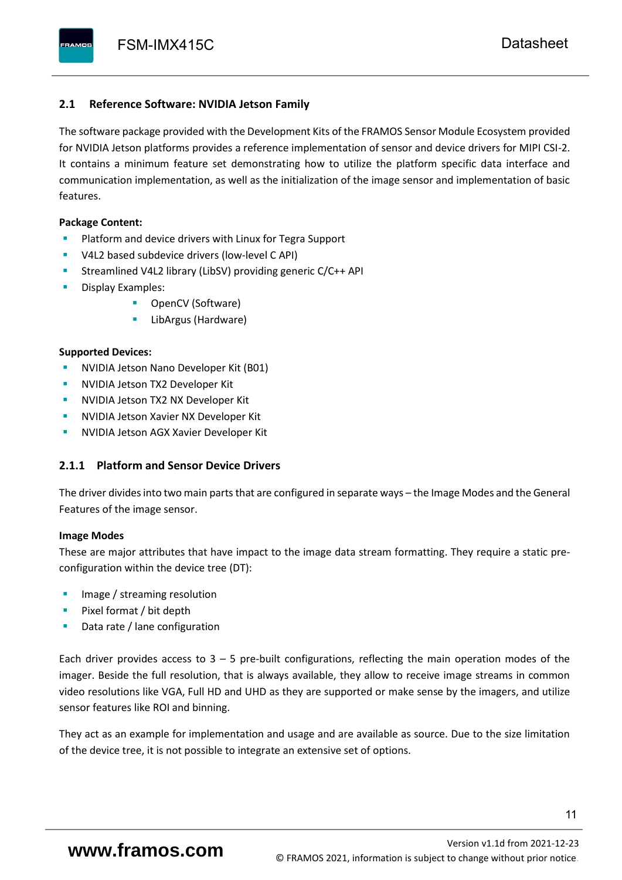### <span id="page-12-0"></span>**2.1 Reference Software: NVIDIA Jetson Family**

The software package provided with the Development Kits of the FRAMOS Sensor Module Ecosystem provided for NVIDIA Jetson platforms provides a reference implementation of sensor and device drivers for MIPI CSI-2. It contains a minimum feature set demonstrating how to utilize the platform specific data interface and communication implementation, as well as the initialization of the image sensor and implementation of basic features.

#### **Package Content:**

- Platform and device drivers with Linux for Tegra Support
- V4L2 based subdevice drivers (low-level C API)
- Streamlined V4L2 library (LibSV) providing generic C/C++ API
- Display Examples:
	- OpenCV (Software)
	- LibArgus (Hardware)

#### **Supported Devices:**

- **NVIDIA Jetson Nano Developer Kit (B01)**
- **NVIDIA Jetson TX2 Developer Kit**
- NVIDIA Jetson TX2 NX Developer Kit
- **NVIDIA Jetson Xavier NX Developer Kit**
- **NVIDIA Jetson AGX Xavier Developer Kit**

## <span id="page-12-1"></span>**2.1.1 Platform and Sensor Device Drivers**

The driver divides into two main parts that are configured in separate ways – the Image Modes and the General Features of the image sensor.

#### **Image Modes**

These are major attributes that have impact to the image data stream formatting. They require a static preconfiguration within the device tree (DT):

- Image / streaming resolution
- Pixel format / bit depth
- Data rate / lane configuration

Each driver provides access to  $3 - 5$  pre-built configurations, reflecting the main operation modes of the imager. Beside the full resolution, that is always available, they allow to receive image streams in common video resolutions like VGA, Full HD and UHD as they are supported or make sense by the imagers, and utilize sensor features like ROI and binning.

They act as an example for implementation and usage and are available as source. Due to the size limitation of the device tree, it is not possible to integrate an extensive set of options.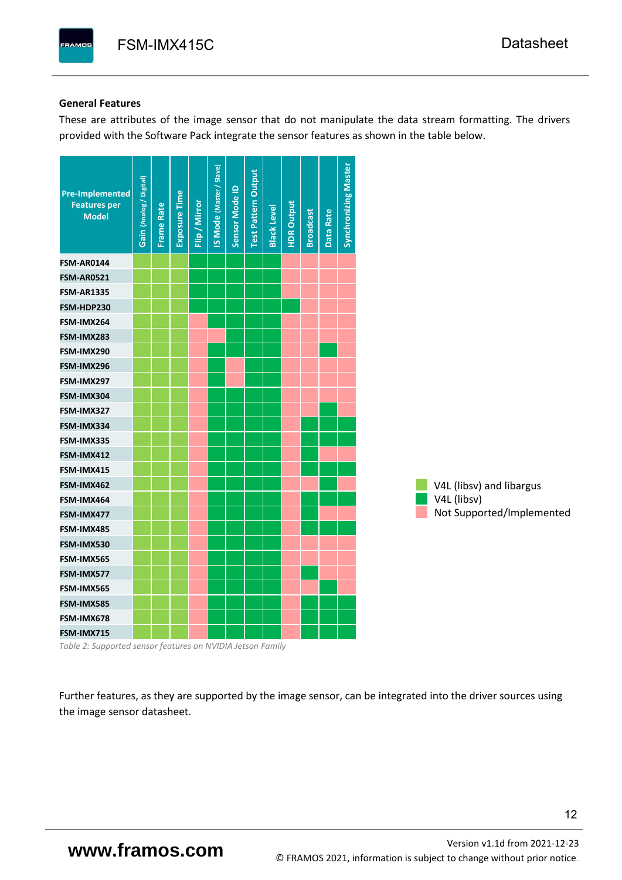#### **General Features**

These are attributes of the image sensor that do not manipulate the data stream formatting. The drivers provided with the Software Pack integrate the sensor features as shown in the table below.

| <b>Pre-Implemented</b><br><b>Features per</b><br><b>Model</b> | Gain (Analog / Digital) | <b>Frame Rate</b> | <b>Exposure Time</b> | Flip / Mirror | <b>IS Mode (Master / Slave)</b> | Sensor Mode ID | <b>Test Pattern Output</b> | <b>Black Level</b> | <b>HDR Output</b> | <b>Broadcast</b> | Data Rate | <b>Synchronizing Master</b> |                           |
|---------------------------------------------------------------|-------------------------|-------------------|----------------------|---------------|---------------------------------|----------------|----------------------------|--------------------|-------------------|------------------|-----------|-----------------------------|---------------------------|
| <b>FSM-AR0144</b>                                             |                         |                   |                      |               |                                 |                |                            |                    |                   |                  |           |                             |                           |
| <b>FSM-AR0521</b>                                             |                         |                   |                      |               |                                 |                |                            |                    |                   |                  |           |                             |                           |
| <b>FSM-AR1335</b>                                             |                         |                   |                      |               |                                 |                |                            |                    |                   |                  |           |                             |                           |
| FSM-HDP230                                                    |                         |                   |                      |               |                                 |                |                            |                    |                   |                  |           |                             |                           |
| FSM-IMX264                                                    |                         |                   |                      |               |                                 |                |                            |                    |                   |                  |           |                             |                           |
| FSM-IMX283                                                    |                         |                   |                      |               |                                 |                |                            |                    |                   |                  |           |                             |                           |
| FSM-IMX290                                                    |                         |                   |                      |               |                                 |                |                            |                    |                   |                  |           |                             |                           |
| FSM-IMX296                                                    |                         |                   |                      |               |                                 |                |                            |                    |                   |                  |           |                             |                           |
| FSM-IMX297                                                    |                         |                   |                      |               |                                 |                |                            |                    |                   |                  |           |                             |                           |
| FSM-IMX304                                                    |                         |                   |                      |               |                                 |                |                            |                    |                   |                  |           |                             |                           |
| FSM-IMX327                                                    |                         |                   |                      |               |                                 |                |                            |                    |                   |                  |           |                             |                           |
| FSM-IMX334                                                    |                         |                   |                      |               |                                 |                |                            |                    |                   |                  |           |                             |                           |
| FSM-IMX335                                                    |                         |                   |                      |               |                                 |                |                            |                    |                   |                  |           |                             |                           |
| FSM-IMX412                                                    |                         |                   |                      |               |                                 |                |                            |                    |                   |                  |           |                             |                           |
| FSM-IMX415                                                    |                         |                   |                      |               |                                 |                |                            |                    |                   |                  |           |                             |                           |
| FSM-IMX462                                                    |                         |                   |                      |               |                                 |                |                            |                    |                   |                  |           |                             | V4L (libsv) and libargus  |
| FSM-IMX464                                                    |                         |                   |                      |               |                                 |                |                            |                    |                   |                  |           |                             | V4L (libsv)               |
| FSM-IMX477                                                    |                         |                   |                      |               |                                 |                |                            |                    |                   |                  |           |                             | Not Supported/Implemented |
| FSM-IMX485                                                    |                         |                   |                      |               |                                 |                |                            |                    |                   |                  |           |                             |                           |
| FSM-IMX530                                                    |                         |                   |                      |               |                                 |                |                            |                    |                   |                  |           |                             |                           |
| FSM-IMX565                                                    |                         |                   |                      |               |                                 |                |                            |                    |                   |                  |           |                             |                           |
| FSM-IMX577                                                    |                         |                   |                      |               |                                 |                |                            |                    |                   |                  |           |                             |                           |
| FSM-IMX565                                                    |                         |                   |                      |               |                                 |                |                            |                    |                   |                  |           |                             |                           |
| FSM-IMX585                                                    |                         |                   |                      |               |                                 |                |                            |                    |                   |                  |           |                             |                           |
| FSM-IMX678                                                    |                         |                   |                      |               |                                 |                |                            |                    |                   |                  |           |                             |                           |
| FSM-IMX715                                                    |                         |                   |                      |               |                                 |                |                            |                    |                   |                  |           |                             |                           |

*Table 2: Supported sensor features on NVIDIA Jetson Family*

Further features, as they are supported by the image sensor, can be integrated into the driver sources using the image sensor datasheet.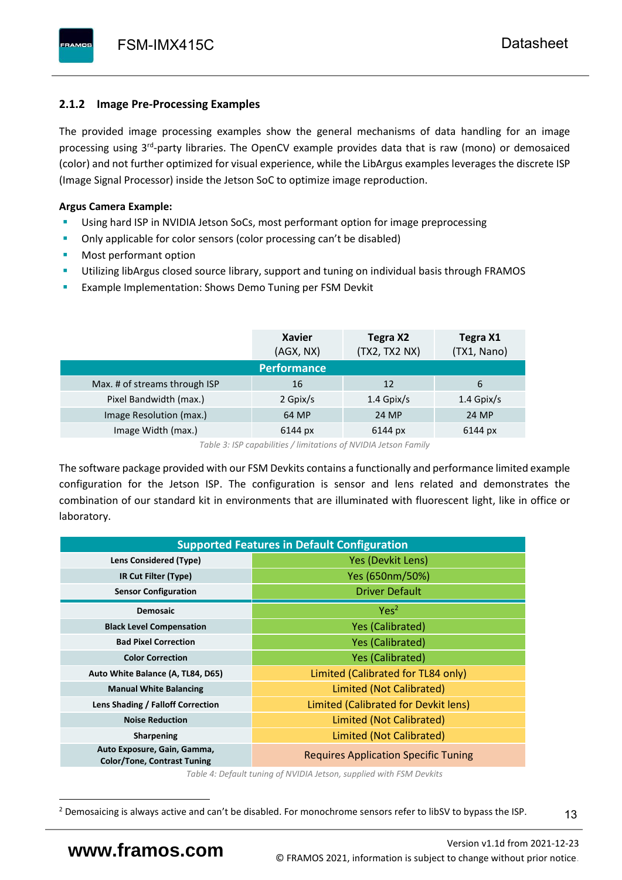# <span id="page-14-0"></span>**2.1.2 Image Pre-Processing Examples**

The provided image processing examples show the general mechanisms of data handling for an image processing using 3<sup>rd</sup>-party libraries. The OpenCV example provides data that is raw (mono) or demosaiced (color) and not further optimized for visual experience, while the LibArgus examples leverages the discrete ISP (Image Signal Processor) inside the Jetson SoC to optimize image reproduction.

# **Argus Camera Example:**

- Using hard ISP in NVIDIA Jetson SoCs, most performant option for image preprocessing
- Only applicable for color sensors (color processing can't be disabled)
- Most performant option
- Utilizing libArgus closed source library, support and tuning on individual basis through FRAMOS
- Example Implementation: Shows Demo Tuning per FSM Devkit

|                               | <b>Xavier</b><br>(AGX, NX) | Tegra X2<br>(TX2, TX2 NX) | Tegra X1<br>(TX1, Nano) |
|-------------------------------|----------------------------|---------------------------|-------------------------|
|                               | <b>Performance</b>         |                           |                         |
| Max. # of streams through ISP | 16                         | 12                        | 6                       |
| Pixel Bandwidth (max.)        | 2 Gpix/s                   | $1.4$ Gpix/s              | $1.4$ Gpix/s            |
| Image Resolution (max.)       | 64 MP                      | 24 MP                     | 24 MP                   |
| Image Width (max.)            | 6144 px                    | 6144 px                   | 6144 px                 |

*Table 3: ISP capabilities / limitations of NVIDIA Jetson Family*

The software package provided with our FSM Devkits contains a functionally and performance limited example configuration for the Jetson ISP. The configuration is sensor and lens related and demonstrates the combination of our standard kit in environments that are illuminated with fluorescent light, like in office or laboratory.

|                                                                   | <b>Supported Features in Default Configuration</b> |  |  |  |  |
|-------------------------------------------------------------------|----------------------------------------------------|--|--|--|--|
| Lens Considered (Type)                                            | Yes (Devkit Lens)                                  |  |  |  |  |
| IR Cut Filter (Type)                                              | Yes (650nm/50%)                                    |  |  |  |  |
| <b>Sensor Configuration</b>                                       | <b>Driver Default</b>                              |  |  |  |  |
| <b>Demosaic</b>                                                   | Yes <sup>2</sup>                                   |  |  |  |  |
| <b>Black Level Compensation</b>                                   | <b>Yes (Calibrated)</b>                            |  |  |  |  |
| <b>Bad Pixel Correction</b>                                       | <b>Yes (Calibrated)</b>                            |  |  |  |  |
| <b>Color Correction</b>                                           | <b>Yes (Calibrated)</b>                            |  |  |  |  |
| Auto White Balance (A, TL84, D65)                                 | Limited (Calibrated for TL84 only)                 |  |  |  |  |
| <b>Manual White Balancing</b>                                     | Limited (Not Calibrated)                           |  |  |  |  |
| Lens Shading / Falloff Correction                                 | Limited (Calibrated for Devkit lens)               |  |  |  |  |
| <b>Noise Reduction</b>                                            | Limited (Not Calibrated)                           |  |  |  |  |
| <b>Sharpening</b>                                                 | Limited (Not Calibrated)                           |  |  |  |  |
| Auto Exposure, Gain, Gamma,<br><b>Color/Tone, Contrast Tuning</b> | <b>Requires Application Specific Tuning</b>        |  |  |  |  |

*Table 4: Default tuning of NVIDIA Jetson, supplied with FSM Devkits*

13

<sup>&</sup>lt;sup>2</sup> Demosaicing is always active and can't be disabled. For monochrome sensors refer to libSV to bypass the ISP.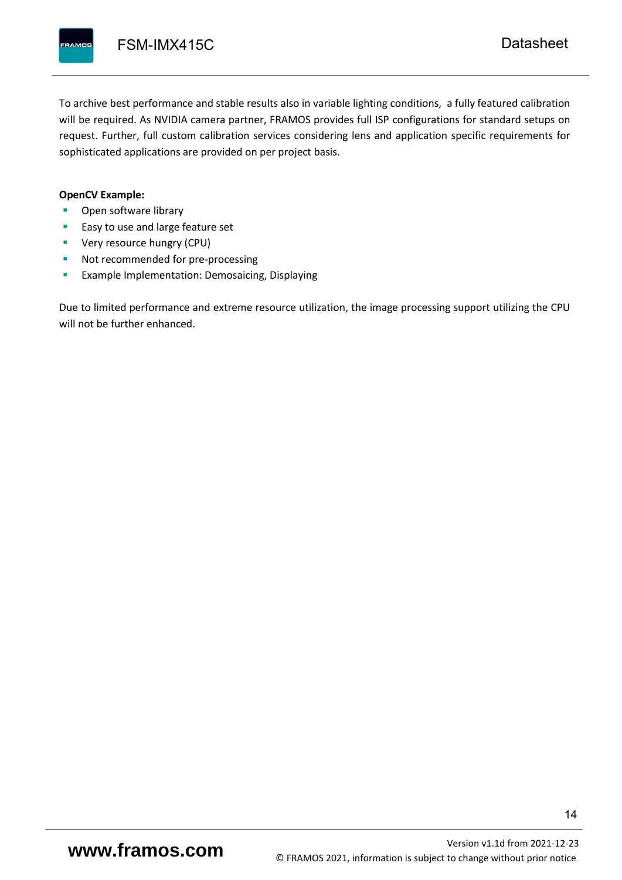To archive best performance and stable results also in variable lighting conditions, a fully featured calibration will be required. As NVIDIA camera partner, FRAMOS provides full ISP configurations for standard setups on request. Further, full custom calibration services considering lens and application specific requirements for sophisticated applications are provided on per project basis.

#### **OpenCV Example:**

- Open software library
- Easy to use and large feature set
- **•** Very resource hungry (CPU)
- Not recommended for pre-processing
- **Example Implementation: Demosaicing, Displaying**

Due to limited performance and extreme resource utilization, the image processing support utilizing the CPU will not be further enhanced.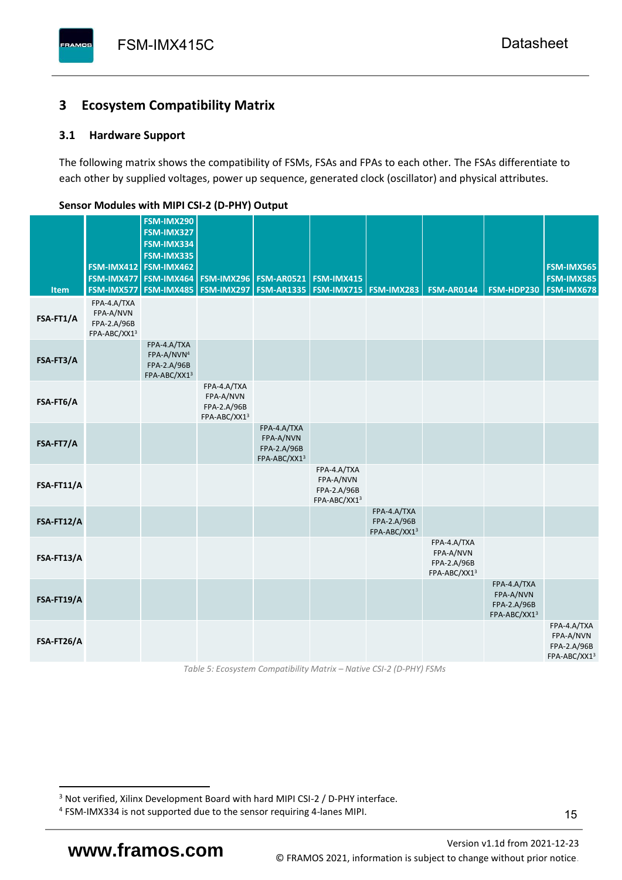# <span id="page-16-0"></span>**3 Ecosystem Compatibility Matrix**

# <span id="page-16-1"></span>**3.1 Hardware Support**

The following matrix shows the compatibility of FSMs, FSAs and FPAs to each other. The FSAs differentiate to each other by supplied voltages, power up sequence, generated clock (oscillator) and physical attributes.

| <b>Item</b> | FSM-IMX477<br>FSM-IMX577                                | FSM-IMX290<br>FSM-IMX327<br>FSM-IMX334<br>FSM-IMX335<br>FSM-IMX412 FSM-IMX462<br>FSM-IMX464<br><b>FSM-IMX485</b> | FSM-IMX296<br>FSM-IMX297                                | <b>FSM-AR0521</b><br><b>FSM-AR1335</b>                  | <b>FSM-IMX415</b>                                       | <b>FSM-IMX715 FSM-IMX283</b>               | <b>FSM-AR0144</b>                                       | FSM-HDP230                                              | <b>FSM-IMX565</b><br><b>FSM-IMX585</b><br>FSM-IMX678    |
|-------------|---------------------------------------------------------|------------------------------------------------------------------------------------------------------------------|---------------------------------------------------------|---------------------------------------------------------|---------------------------------------------------------|--------------------------------------------|---------------------------------------------------------|---------------------------------------------------------|---------------------------------------------------------|
| FSA-FT1/A   | FPA-4.A/TXA<br>FPA-A/NVN<br>FPA-2.A/96B<br>FPA-ABC/XX13 |                                                                                                                  |                                                         |                                                         |                                                         |                                            |                                                         |                                                         |                                                         |
| FSA-FT3/A   |                                                         | FPA-4.A/TXA<br>FPA-A/NVN <sup>4</sup><br>FPA-2.A/96B<br>FPA-ABC/XX13                                             |                                                         |                                                         |                                                         |                                            |                                                         |                                                         |                                                         |
| FSA-FT6/A   |                                                         |                                                                                                                  | FPA-4.A/TXA<br>FPA-A/NVN<br>FPA-2.A/96B<br>FPA-ABC/XX13 |                                                         |                                                         |                                            |                                                         |                                                         |                                                         |
| FSA-FT7/A   |                                                         |                                                                                                                  |                                                         | FPA-4.A/TXA<br>FPA-A/NVN<br>FPA-2.A/96B<br>FPA-ABC/XX13 |                                                         |                                            |                                                         |                                                         |                                                         |
| FSA-FT11/A  |                                                         |                                                                                                                  |                                                         |                                                         | FPA-4.A/TXA<br>FPA-A/NVN<br>FPA-2.A/96B<br>FPA-ABC/XX13 |                                            |                                                         |                                                         |                                                         |
| FSA-FT12/A  |                                                         |                                                                                                                  |                                                         |                                                         |                                                         | FPA-4.A/TXA<br>FPA-2.A/96B<br>FPA-ABC/XX13 |                                                         |                                                         |                                                         |
| FSA-FT13/A  |                                                         |                                                                                                                  |                                                         |                                                         |                                                         |                                            | FPA-4.A/TXA<br>FPA-A/NVN<br>FPA-2.A/96B<br>FPA-ABC/XX13 |                                                         |                                                         |
| FSA-FT19/A  |                                                         |                                                                                                                  |                                                         |                                                         |                                                         |                                            |                                                         | FPA-4.A/TXA<br>FPA-A/NVN<br>FPA-2.A/96B<br>FPA-ABC/XX13 |                                                         |
| FSA-FT26/A  |                                                         |                                                                                                                  |                                                         |                                                         |                                                         |                                            |                                                         |                                                         | FPA-4.A/TXA<br>FPA-A/NVN<br>FPA-2.A/96B<br>FPA-ABC/XX13 |

#### <span id="page-16-2"></span>**Sensor Modules with MIPI CSI-2 (D-PHY) Output**

*Table 5: Ecosystem Compatibility Matrix – Native CSI-2 (D-PHY) FSMs*

Version [v1.1d](#page-0-3) from 2021-12-23 **www.framos.com** © FRAMOS 2021, [information is subject to change without prior notice.](mailto:sales@framos.de)

<sup>&</sup>lt;sup>3</sup> Not verified, Xilinx Development Board with hard MIPI CSI-2 / D-PHY interface.

<sup>4</sup> FSM-IMX334 is not supported due to the sensor requiring 4-lanes MIPI.